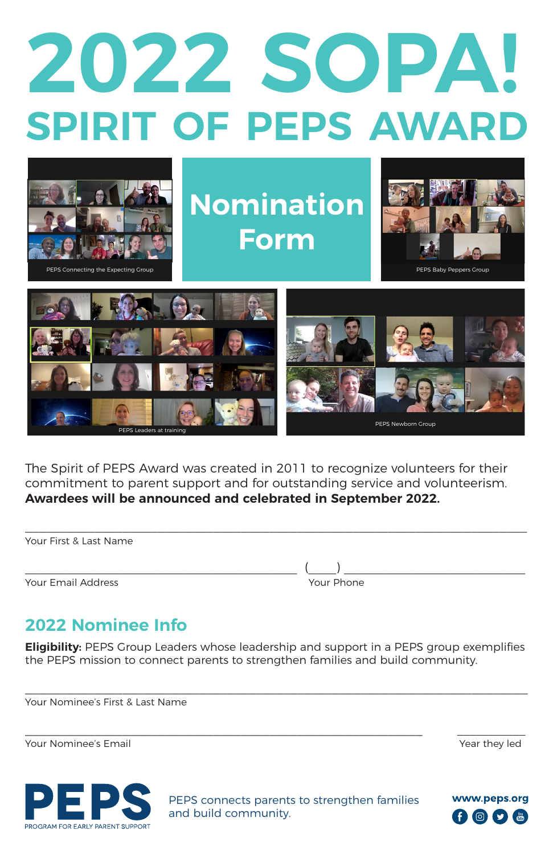## **2022 SOPA! SPIRIT OF PEPS AWARD**



The Spirit of PEPS Award was created in 2011 to recognize volunteers for their commitment to parent support and for outstanding service and volunteerism. **Awardees will be announced and celebrated in September 2022.**

Your First & Last Name

Your Email Address

\_\_\_\_\_\_\_\_\_\_\_\_\_\_\_\_\_\_\_\_\_\_\_\_\_\_\_\_\_\_\_\_\_\_\_\_\_\_\_ (\_\_\_\_) \_\_\_\_\_\_\_\_\_\_\_\_\_\_\_\_\_\_\_\_\_\_\_\_\_\_

## **2022 Nominee Info**

**Eligibility:** PEPS Group Leaders whose leadership and support in a PEPS group exemplifies the PEPS mission to connect parents to strengthen families and build community.

 $\mathcal{L}_\mathcal{L} = \{ \mathcal{L}_\mathcal{L} = \{ \mathcal{L}_\mathcal{L} = \{ \mathcal{L}_\mathcal{L} = \{ \mathcal{L}_\mathcal{L} = \{ \mathcal{L}_\mathcal{L} = \{ \mathcal{L}_\mathcal{L} = \{ \mathcal{L}_\mathcal{L} = \{ \mathcal{L}_\mathcal{L} = \{ \mathcal{L}_\mathcal{L} = \{ \mathcal{L}_\mathcal{L} = \{ \mathcal{L}_\mathcal{L} = \{ \mathcal{L}_\mathcal{L} = \{ \mathcal{L}_\mathcal{L} = \{ \mathcal{L}_\mathcal{$ 

Your Nominee's First & Last Name

Your Nominee's Email Year they led



PEPS connects parents to strengthen families and build community.